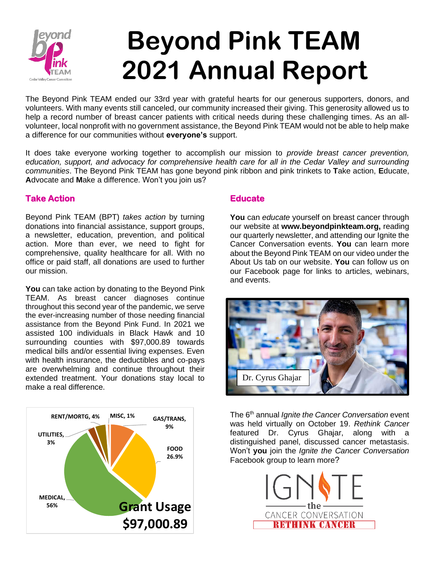

# **Beyond Pink TEAM 2021 Annual Report**

The Beyond Pink TEAM ended our 33rd year with grateful hearts for our generous supporters, donors, and volunteers. With many events still canceled, our community increased their giving. This generosity allowed us to help a record number of breast cancer patients with critical needs during these challenging times. As an allvolunteer, local nonprofit with no government assistance, the Beyond Pink TEAM would not be able to help make a difference for our communities without **everyone's** support.

It does take everyone working together to accomplish our mission to *provide breast cancer prevention, education, support, and advocacy for comprehensive health care for all in the Cedar Valley and surrounding communities*. The Beyond Pink TEAM has gone beyond pink ribbon and pink trinkets to **T**ake action, **E**ducate, **A**dvocate and **M**ake a difference. Won't you join us?

## **Take Action**

Beyond Pink TEAM (BPT) *takes action* by turning donations into financial assistance, support groups, a newsletter, education, prevention, and political action. More than ever, we need to fight for comprehensive, quality healthcare for all. With no office or paid staff, all donations are used to further our mission.

**You** can take action by donating to the Beyond Pink TEAM. As breast cancer diagnoses continue throughout this second year of the pandemic, we serve the ever-increasing number of those needing financial assistance from the Beyond Pink Fund. In 2021 we assisted 100 individuals in Black Hawk and 10 surrounding counties with \$97,000.89 towards medical bills and/or essential living expenses. Even with health insurance, the deductibles and co-pays are overwhelming and continue throughout their extended treatment. Your donations stay local to make a real difference.



### **Educate**

**You** can *educate* yourself on breast cancer through our website at **[www.beyondpinkteam.org,](http://www.beyondpinkteam.org/)** reading our quarterly newsletter, and attending our Ignite the Cancer Conversation events. **You** can learn more about the Beyond Pink TEAM on our video under the About Us tab on our website. **You** can follow us on our Facebook page for links to articles, webinars, and events.



The 6th annual *Ignite the Cancer Conversation* event was held virtually on October 19. *Rethink Cancer*  featured Dr. Cyrus Ghajar, along with a distinguished panel, discussed cancer metastasis. Won't **you** join the *Ignite the Cancer Conversation*  Facebook group to learn more?